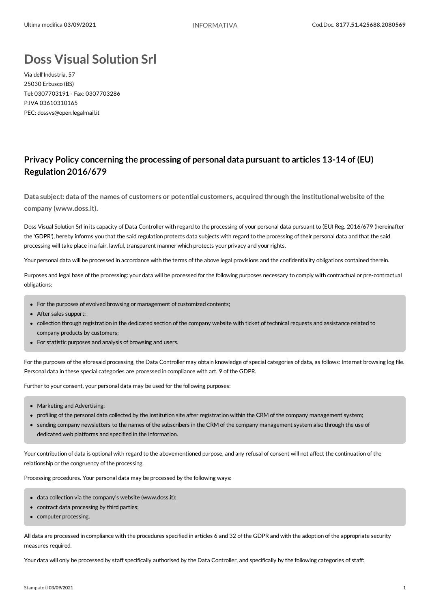## **Doss Visual Solution Srl**

Via dell'Industria, 57 25030 Erbusco (BS) Tel: 0307703191 - Fax: 0307703286 P.IVA 03610310165 PEC: dossvs@open.legalmail.it

## **Privacy Policy concerning the processing of personal data pursuant to articles 13-14 of (EU) Regulation 2016/679**

**Data subject: data of the names ofcustomers or potentialcustomers, acquired through the institutionalwebsite of the company (www.doss.it).**

Doss Visual Solution Srl in its capacity of Data Controller with regard to the processing of your personal data pursuant to (EU) Reg. 2016/679 (hereinafter the 'GDPR'), hereby informs you that the said regulation protects data subjects with regard to the processing of their personal data and that the said processing will take place in a fair, lawful, transparent manner which protects your privacy and your rights.

Your personal data will be processed in accordance with the terms of the above legal provisions and the confidentiality obligations contained therein.

Purposes and legal base of the processing: your data will be processed for the following purposes necessary to comply with contractual or pre-contractual obligations:

- For the purposes of evolved browsing or management of customized contents;
- After sales support:
- collection through registration in the dedicated section of the company website with ticket of technical requests and assistance related to company products by customers;
- For statistic purposes and analysis of browsing and users.

For the purposes of the aforesaid processing, the Data Controller may obtain knowledge of special categories of data, as follows: Internet browsing log file. Personal data in these special categories are processed in compliance with art. 9 of the GDPR.

Further to your consent, your personal data may be used for the following purposes:

- Marketing and Advertising;
- profiling of the personal data collected by the institution site after registration within the CRM of the company management system;
- sending company newsletters to the names of the subscribers in the CRM of the company management system also through the use of dedicated web platforms and specified in the information.

Your contribution of data is optional with regard to the abovementioned purpose, and any refusal of consent will not affect the continuation of the relationship or the congruency of the processing.

Processing procedures. Your personal data may be processed by the following ways:

- data collection via the company's website (www.doss.it);
- contract data processing by third parties;
- computer processing.

All data are processed in compliance with the procedures specified in articles 6 and 32 of the GDPR and with the adoption of the appropriate security measures required.

Your data will only be processed by staff specifically authorised by the Data Controller, and specifically by the following categories of staff: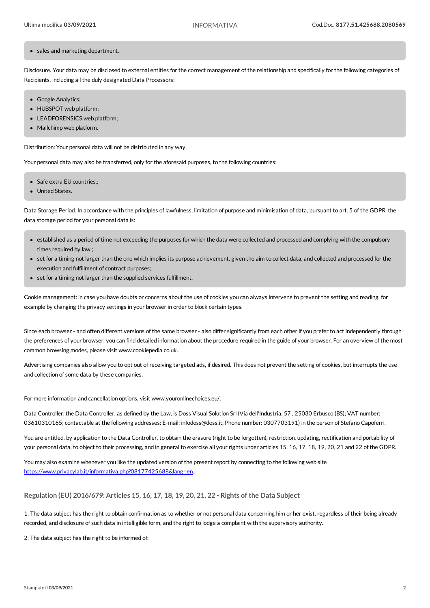## • sales and marketing department.

Disclosure. Your data may be disclosed to external entities for the correct management of the relationship and specifically for the following categories of Recipients, including all the duly designated Data Processors:

- Google Analytics;
- HUBSPOT web platform;
- LEADFORENSICS web platform;
- Mailchimp web platform.

Distribution: Your personal data will not be distributed in any way.

Your personal data may also be transferred, only for the aforesaid purposes, to the following countries:

- Safe extra EU countries.:
- United States.

Data Storage Period. In accordance with the principles of lawfulness, limitation of purpose and minimisation of data, pursuant to art. 5 of the GDPR, the data storage period for your personal data is:

- established as a period of time not exceeding the purposes for which the data were collected and processed and complying with the compulsory times required by law.;
- set for a timing not larger than the one which implies its purpose achievement, given the aim to collect data, and collected and processed for the execution and fulfillment of contract purposes:
- set for a timing not larger than the supplied services fulfillment.

Cookie management: in case you have doubts orconcerns about the use ofcookies you can always intervene to prevent the setting and reading, for example by changing the privacy settings in your browser in order to block certain types.

Since each browser - and often different versions of the same browser - also differsignificantly from each other if you prefer to act independently through the preferences of your browser, you can find detailed information about the procedure required in the guide of your browser. For an overview of the most common browsing modes, please visit www.cookiepedia.co.uk.

Advertising companies also allow you to opt out of receiving targeted ads, if desired. This does not prevent the setting of cookies, but interrupts the use and collection of some data by these companies.

For more information and cancellation options, visit www.youronlinechoices.eu/.

Data Controller: the Data Controller, as defined by the Law, is Doss Visual Solution Srl (Via dell'Industria, 57 , 25030 Erbusco (BS); VAT number: 03610310165;contactable at the following addresses: E-mail: infodoss@doss.it; Phone number: 0307703191) in the person of Stefano Capoferri.

You are entitled, by application to the Data Controller, to obtain the erasure (right to be forgotten), restriction, updating, rectification and portability of your personal data, to object to their processing, and in general to exercise all your rights under articles 15, 16, 17, 18, 19, 20, 21 and 22 of the GDPR.

Youmay also examine whenever you like the updated version of the present report by connecting to the following web site <https://www.privacylab.it/informativa.php?08177425688&lang=en>.

**Regulation (EU) 2016/679: Articles 15, 16, 17, 18, 19, 20, 21, 22 - Rights of the Data Subject**

1. The data subject has the right to obtain confirmation as to whether or not personal data concerning him or her exist, regardless of their being already recorded, and disclosure ofsuch data in intelligible form, and the right to lodge a complaint with the supervisory authority.

2. The data subject has the right to be informed of: